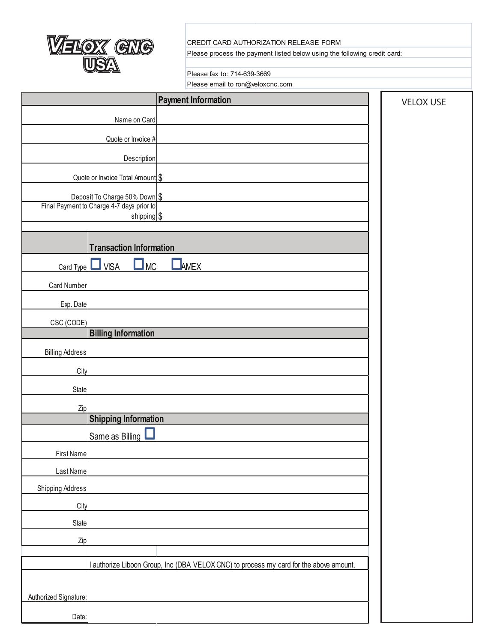

## CREDIT CARD AUTHORIZATION RELEASE FORM

Please process the payment listed below using the following credit card:

## Please fax to: 714-639-3669

Please email to ron@veloxcnc.com

|                                                                            |                                  | <b>Payment Information</b>                                                             | <b>VELOX USE</b> |
|----------------------------------------------------------------------------|----------------------------------|----------------------------------------------------------------------------------------|------------------|
|                                                                            | Name on Card                     |                                                                                        |                  |
|                                                                            | Quote or Invoice #               |                                                                                        |                  |
|                                                                            | Description                      |                                                                                        |                  |
|                                                                            | Quote or Invoice Total Amount \$ |                                                                                        |                  |
|                                                                            |                                  |                                                                                        |                  |
| Deposit To Charge 50% Down \$<br>Final Payment to Charge 4-7 days prior to |                                  |                                                                                        |                  |
|                                                                            | shipping \$                      |                                                                                        |                  |
|                                                                            | <b>Transaction Information</b>   |                                                                                        |                  |
| Card Type                                                                  | <b>MC</b><br><b>VISA</b><br>ш    | AMEX                                                                                   |                  |
| Card Number                                                                |                                  |                                                                                        |                  |
| Exp. Date                                                                  |                                  |                                                                                        |                  |
| CSC (CODE)                                                                 |                                  |                                                                                        |                  |
|                                                                            | <b>Billing Information</b>       |                                                                                        |                  |
| <b>Billing Address</b>                                                     |                                  |                                                                                        |                  |
| City                                                                       |                                  |                                                                                        |                  |
| <b>State</b>                                                               |                                  |                                                                                        |                  |
| Zip                                                                        |                                  |                                                                                        |                  |
|                                                                            | <b>Shipping Information</b>      |                                                                                        |                  |
|                                                                            | Same as Billing                  |                                                                                        |                  |
| First Name                                                                 |                                  |                                                                                        |                  |
| Last Name                                                                  |                                  |                                                                                        |                  |
| <b>Shipping Address</b>                                                    |                                  |                                                                                        |                  |
| City                                                                       |                                  |                                                                                        |                  |
| State                                                                      |                                  |                                                                                        |                  |
| Zip                                                                        |                                  |                                                                                        |                  |
|                                                                            |                                  | I authorize Liboon Group, Inc (DBA VELOX CNC) to process my card for the above amount. |                  |
|                                                                            |                                  |                                                                                        |                  |
| Authorized Signature:                                                      |                                  |                                                                                        |                  |
| Date:                                                                      |                                  |                                                                                        |                  |